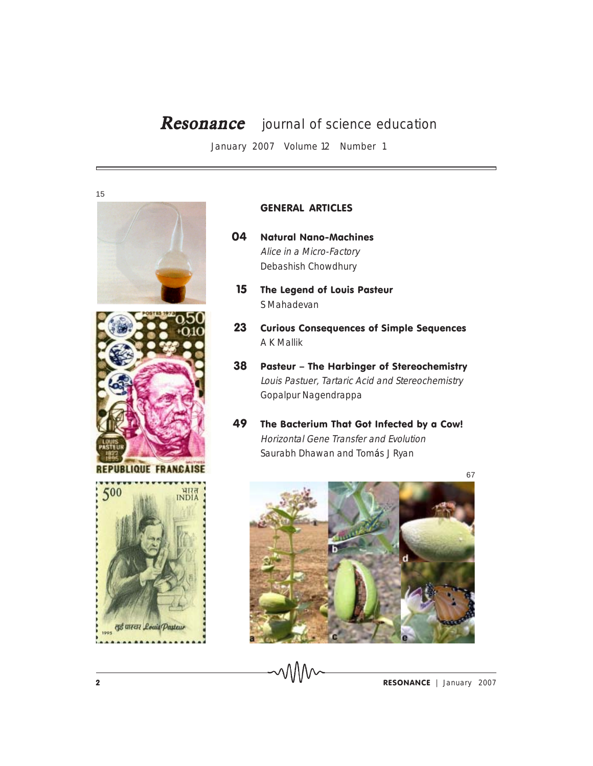## Resonance journal of science education

January 2007 Volume 12 Number 1







**REPUBLIQUE FRANCAISE** 



## GENERAL ARTICLES

- 04 Natural Nano-Machines Alice in a Micro-Factory Debashish Chowdhury
- 15 The Legend of Louis Pasteur S Mahadevan
- 23 Curious Consequences of Simple Sequences A K Mallik
- 38 Pasteur The Harbinger of Stereochemistry Louis Pastuer, Tartaric Acid and Stereochemistry Gopalpur Nagendrappa
- 49 The Bacterium That Got Infected by a Cow! Horizontal Gene Transfer and Evolution Saurabh Dhawan and Tomás J Ryan

67



MM

**2 ESONANCE** January 2007